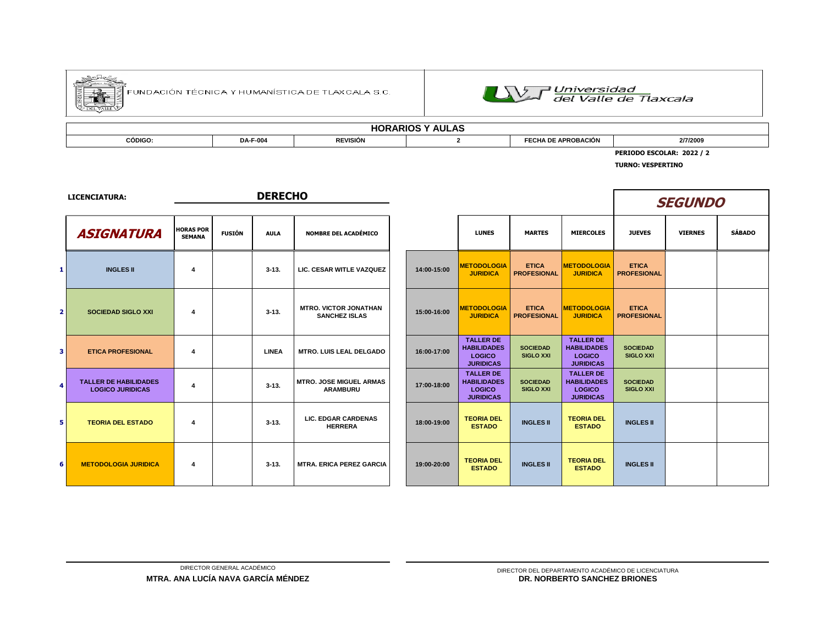

.<br>FUNDACIÓN TÉCNICA Y HUMANÍSTICA DE TLAXCALA S.C.



| <b>AULAS</b><br>HOR<br>KARIOS<br>.nu |                 |                 |  |                                 |          |  |  |  |  |  |
|--------------------------------------|-----------------|-----------------|--|---------------------------------|----------|--|--|--|--|--|
| CÓDIGO:                              | <b>DA-F-004</b> | <b>REVISIÓN</b> |  | <b>\ DE APROBACIÓN</b><br>г. п/ | 2/7/2009 |  |  |  |  |  |
|                                      |                 |                 |  |                                 |          |  |  |  |  |  |

**PERIODO ESCOLAR: 2022 / 2** 

**TURNO: VESPERTINO**

LICENCIATURA:

|                | <b>ASIGNATURA</b>                                       | <b>HORAS POR</b><br><b>SEMANA</b> | <b>FUSIÓN</b> | <b>AULA</b>  | <b>NOMBRE DEL ACADÉMICO</b>                          |             | <b>LUNES</b>                                                         |
|----------------|---------------------------------------------------------|-----------------------------------|---------------|--------------|------------------------------------------------------|-------------|----------------------------------------------------------------------|
| 1              | <b>INGLES II</b>                                        | 4                                 |               | $3 - 13.$    | LIC. CESAR WITLE VAZQUEZ                             | 14:00-15:00 | <b>METODOLOGIA</b><br><b>JURIDICA</b>                                |
| $\overline{2}$ | <b>SOCIEDAD SIGLO XXI</b>                               | 4                                 |               | $3-13.$      | <b>MTRO. VICTOR JONATHAN</b><br><b>SANCHEZ ISLAS</b> | 15:00-16:00 | <b>METODOLOGIA</b><br><b>JURIDICA</b>                                |
| з              | <b>ETICA PROFESIONAL</b>                                | 4                                 |               | <b>LINEA</b> | <b>MTRO. LUIS LEAL DELGADO</b>                       | 16:00-17:00 | <b>TALLER DE</b><br><b>HABILIDADES</b><br>LOGICO<br><b>JURIDICAS</b> |
| 4              | <b>TALLER DE HABILIDADES</b><br><b>LOGICO JURIDICAS</b> | 4                                 |               | $3-13.$      | <b>MTRO. JOSE MIGUEL ARMAS</b><br><b>ARAMBURU</b>    | 17:00-18:00 | <b>TALLER DE</b><br><b>HABILIDADES</b><br>LOGICO<br><b>JURIDICAS</b> |
| 5              | <b>TEORIA DEL ESTADO</b>                                | 4                                 |               | $3 - 13.$    | <b>LIC. EDGAR CARDENAS</b><br><b>HERRERA</b>         | 18:00-19:00 | <b>TEORIA DEL</b><br><b>ESTADO</b>                                   |
| 6              | <b>METODOLOGIA JURIDICA</b>                             | 4                                 |               | $3-13.$      | <b>MTRA, ERICA PEREZ GARCIA</b>                      | 19:00-20:00 | <b>TEORIA DEL</b><br><b>ESTADO</b>                                   |

|                                  |               | <b>DERECHO</b> |                                                      |             |                                                                      |                                     |                                                                             | <b>SEGUNDO</b>                      |                |               |  |
|----------------------------------|---------------|----------------|------------------------------------------------------|-------------|----------------------------------------------------------------------|-------------------------------------|-----------------------------------------------------------------------------|-------------------------------------|----------------|---------------|--|
| <b>ORAS POR</b><br><b>SEMANA</b> | <b>FUSIÓN</b> | <b>AULA</b>    | <b>NOMBRE DEL ACADÉMICO</b>                          |             | <b>LUNES</b>                                                         | <b>MARTES</b>                       | <b>MIERCOLES</b>                                                            | <b>JUEVES</b>                       | <b>VIERNES</b> | <b>SÁBADO</b> |  |
| 4                                |               | $3 - 13$ .     | LIC. CESAR WITLE VAZQUEZ                             | 14:00-15:00 | <b>METODOLOGIA</b><br><b>JURIDICA</b>                                | <b>ETICA</b><br><b>PROFESIONAL</b>  | <b>METODOLOGIA</b><br><b>JURIDICA</b>                                       | <b>ETICA</b><br><b>PROFESIONAL</b>  |                |               |  |
| 4                                |               | $3 - 13$ .     | <b>MTRO, VICTOR JONATHAN</b><br><b>SANCHEZ ISLAS</b> | 15:00-16:00 | <b>METODOLOGIA</b><br><b>JURIDICA</b>                                | <b>ETICA</b><br><b>PROFESIONAL</b>  | <b>METODOLOGIA</b><br><b>JURIDICA</b>                                       | <b>ETICA</b><br><b>PROFESIONAL</b>  |                |               |  |
| 4                                |               | <b>LINEA</b>   | <b>MTRO. LUIS LEAL DELGADO</b>                       | 16:00-17:00 | <b>TALLER DE</b><br><b>HABILIDADES</b><br>LOGICO<br><b>JURIDICAS</b> | <b>SOCIEDAD</b><br><b>SIGLO XXI</b> | <b>TALLER DE</b><br><b>HABILIDADES</b><br>LOGICO<br><b>JURIDICAS</b>        | <b>SOCIEDAD</b><br><b>SIGLO XXI</b> |                |               |  |
| 4                                |               | $3 - 13$ .     | <b>MTRO, JOSE MIGUEL ARMAS</b><br><b>ARAMBURU</b>    | 17:00-18:00 | <b>TALLER DE</b><br><b>HABILIDADES</b><br>LOGICO<br><b>JURIDICAS</b> | <b>SOCIEDAD</b><br><b>SIGLO XXI</b> | <b>TALLER DE</b><br><b>HABILIDADES</b><br><b>LOGICO</b><br><b>JURIDICAS</b> | <b>SOCIEDAD</b><br><b>SIGLO XXI</b> |                |               |  |
| 4                                |               | $3 - 13$ .     | <b>LIC. EDGAR CARDENAS</b><br><b>HERRERA</b>         | 18:00-19:00 | <b>TEORIA DEL</b><br><b>ESTADO</b>                                   | <b>INGLES II</b>                    | <b>TEORIA DEL</b><br><b>ESTADO</b>                                          | <b>INGLES II</b>                    |                |               |  |
| 4                                |               | $3 - 13$ .     | <b>MTRA, ERICA PEREZ GARCIA</b>                      | 19:00-20:00 | <b>TEORIA DEL</b><br><b>ESTADO</b>                                   | <b>INGLES II</b>                    | <b>TEORIA DEL</b><br><b>ESTADO</b>                                          | <b>INGLES II</b>                    |                |               |  |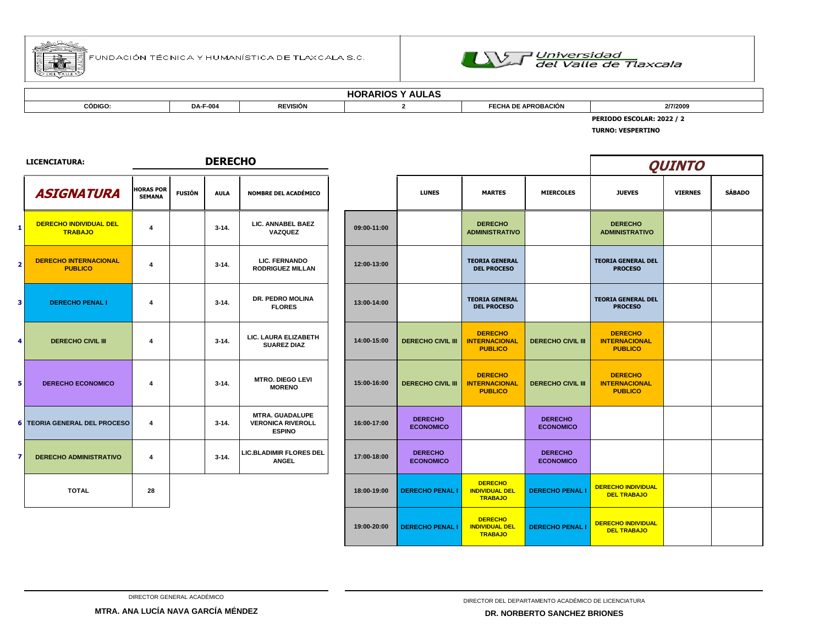



| $\mathbf{L}$<br>$\ddot{\phantom{1}}$<br>. IV<br>טהשטר |                 |                 |  |                         |          |  |  |  |  |
|-------------------------------------------------------|-----------------|-----------------|--|-------------------------|----------|--|--|--|--|
| <b>CÓDIGO</b>                                         | <b>DA-F-004</b> | <b>REVISIÓN</b> |  | <b>APROBACIÓN</b><br>nΓ | 2/7/2009 |  |  |  |  |
| <b>_OLAR: 2022</b>                                    |                 |                 |  |                         |          |  |  |  |  |

**TURNO: VESPERTINO**

|                | <b>LICENCIATURA:</b>                            | <b>DERECHO</b>                    |               |             |                                                                     |  |             |                                    |                                                           |                                    | <b>QUINTO</b>                                            |                |               |
|----------------|-------------------------------------------------|-----------------------------------|---------------|-------------|---------------------------------------------------------------------|--|-------------|------------------------------------|-----------------------------------------------------------|------------------------------------|----------------------------------------------------------|----------------|---------------|
|                | <b>ASIGNATURA</b>                               | <b>HORAS POR</b><br><b>SEMANA</b> | <b>FUSIÓN</b> | <b>AULA</b> | <b>NOMBRE DEL ACADÉMICO</b>                                         |  |             | <b>LUNES</b>                       | <b>MARTES</b>                                             | <b>MIERCOLES</b>                   | <b>JUEVES</b>                                            | <b>VIERNES</b> | <b>SÁBADO</b> |
| 1              | <b>DERECHO INDIVIDUAL DEL</b><br><b>TRABAJO</b> | $\overline{\mathbf{4}}$           |               | $3 - 14.$   | LIC. ANNABEL BAEZ<br>VAZQUEZ                                        |  | 09:00-11:00 |                                    | <b>DERECHO</b><br><b>ADMINISTRATIVO</b>                   |                                    | <b>DERECHO</b><br><b>ADMINISTRATIVO</b>                  |                |               |
| $\overline{2}$ | <b>DERECHO INTERNACIONAL</b><br><b>PUBLICO</b>  | $\overline{4}$                    |               | $3 - 14.$   | <b>LIC. FERNANDO</b><br><b>RODRIGUEZ MILLAN</b>                     |  | 12:00-13:00 |                                    | <b>TEORIA GENERAL</b><br><b>DEL PROCESO</b>               |                                    | <b>TEORIA GENERAL DEL</b><br><b>PROCESO</b>              |                |               |
| 3 <sup>1</sup> | <b>DERECHO PENAL I</b>                          | $\overline{4}$                    |               | $3 - 14.$   | DR. PEDRO MOLINA<br><b>FLORES</b>                                   |  | 13:00-14:00 |                                    | <b>TEORIA GENERAL</b><br><b>DEL PROCESO</b>               |                                    | <b>TEORIA GENERAL DEL</b><br><b>PROCESO</b>              |                |               |
| 4              | <b>DERECHO CIVIL III</b>                        | $\overline{4}$                    |               | $3 - 14.$   | LIC. LAURA ELIZABETH<br><b>SUAREZ DIAZ</b>                          |  | 14:00-15:00 | <b>DERECHO CIVIL III</b>           | <b>DERECHO</b><br><b>INTERNACIONAL</b><br><b>PUBLICO</b>  | <b>DERECHO CIVIL III</b>           | <b>DERECHO</b><br><b>INTERNACIONAL</b><br><b>PUBLICO</b> |                |               |
| 5              | <b>DERECHO ECONOMICO</b>                        | 4                                 |               | $3 - 14.$   | <b>MTRO, DIEGO LEVI</b><br><b>MORENO</b>                            |  | 15:00-16:00 | <b>DERECHO CIVIL III</b>           | <b>DERECHO</b><br><b>INTERNACIONAL</b><br><b>PUBLICO</b>  | <b>DERECHO CIVIL III</b>           | <b>DERECHO</b><br><b>INTERNACIONAL</b><br><b>PUBLICO</b> |                |               |
|                | <b>6 TEORIA GENERAL DEL PROCESO</b>             | $\overline{4}$                    |               | $3 - 14.$   | <b>MTRA. GUADALUPE</b><br><b>VERONICA RIVEROLL</b><br><b>ESPINO</b> |  | 16:00-17:00 | <b>DERECHO</b><br><b>ECONOMICO</b> |                                                           | <b>DERECHO</b><br><b>ECONOMICO</b> |                                                          |                |               |
| 71             | <b>DERECHO ADMINISTRATIVO</b>                   | $\overline{\mathbf{4}}$           |               | $3 - 14.$   | <b>LIC.BLADIMIR FLORES DEL</b><br><b>ANGEL</b>                      |  | 17:00-18:00 | <b>DERECHO</b><br><b>ECONOMICO</b> |                                                           | <b>DERECHO</b><br><b>ECONOMICO</b> |                                                          |                |               |
|                | <b>TOTAL</b>                                    | 28                                |               |             |                                                                     |  | 18:00-19:00 | <b>DERECHO PENAL I</b>             | <b>DERECHO</b><br><b>INDIVIDUAL DEL</b><br><b>TRABAJO</b> | <b>DERECHO PENAL I</b>             | <b>DERECHO INDIVIDUAL</b><br><b>DEL TRABAJO</b>          |                |               |
|                |                                                 |                                   |               |             |                                                                     |  | 19:00-20:00 | <b>DERECHO PENAL I</b>             | <b>DERECHO</b><br><b>INDIVIDUAL DEL</b><br><b>TRABAJO</b> | <b>DERECHO PENAL I</b>             | <b>DERECHO INDIVIDUAL</b><br><b>DEL TRABAJO</b>          |                |               |